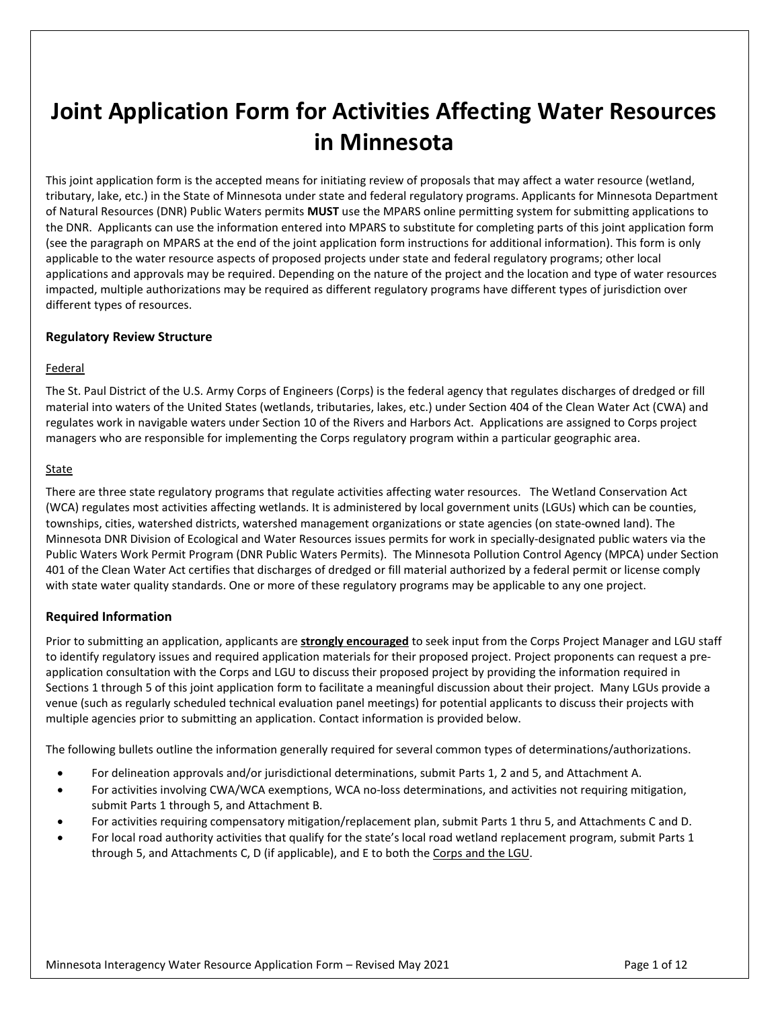# **Joint Application Form for Activities Affecting Water Resources in Minnesota**

This joint application form is the accepted means for initiating review of proposals that may affect a water resource (wetland, tributary, lake, etc.) in the State of Minnesota under state and federal regulatory programs. Applicants for Minnesota Department of Natural Resources (DNR) Public Waters permits **MUST** use the MPARS online permitting system for submitting applications to the DNR. Applicants can use the information entered into MPARS to substitute for completing parts of this joint application form (see the paragraph on MPARS at the end of the joint application form instructions for additional information). This form is only applicable to the water resource aspects of proposed projects under state and federal regulatory programs; other local applications and approvals may be required. Depending on the nature of the project and the location and type of water resources impacted, multiple authorizations may be required as different regulatory programs have different types of jurisdiction over different types of resources.

#### **Regulatory Review Structure**

#### Federal

The St. Paul District of the U.S. Army Corps of Engineers (Corps) is the federal agency that regulates discharges of dredged or fill material into waters of the United States (wetlands, tributaries, lakes, etc.) under Section 404 of the Clean Water Act (CWA) and regulates work in navigable waters under Section 10 of the Rivers and Harbors Act. Applications are assigned to Corps project managers who are responsible for implementing the Corps regulatory program within a particular geographic area.

#### **State**

There are three state regulatory programs that regulate activities affecting water resources. The Wetland Conservation Act (WCA) regulates most activities affecting wetlands. It is administered by local government units (LGUs) which can be counties, townships, cities, watershed districts, watershed management organizations or state agencies (on state-owned land). The Minnesota DNR Division of Ecological and Water Resources issues permits for work in specially-designated public waters via the Public Waters Work Permit Program (DNR Public Waters Permits). The Minnesota Pollution Control Agency (MPCA) under Section 401 of the Clean Water Act certifies that discharges of dredged or fill material authorized by a federal permit or license comply with state water quality standards. One or more of these regulatory programs may be applicable to any one project.

### **Required Information**

Prior to submitting an application, applicants are **strongly encouraged** to seek input from the Corps Project Manager and LGU staff to identify regulatory issues and required application materials for their proposed project. Project proponents can request a preapplication consultation with the Corps and LGU to discuss their proposed project by providing the information required in Sections 1 through 5 of this joint application form to facilitate a meaningful discussion about their project. Many LGUs provide a venue (such as regularly scheduled technical evaluation panel meetings) for potential applicants to discuss their projects with multiple agencies prior to submitting an application. Contact information is provided below.

The following bullets outline the information generally required for several common types of determinations/authorizations.

- For delineation approvals and/or jurisdictional determinations, submit Parts 1, 2 and 5, and Attachment A.
- For activities involving CWA/WCA exemptions, WCA no-loss determinations, and activities not requiring mitigation, submit Parts 1 through 5, and Attachment B.
- For activities requiring compensatory mitigation/replacement plan, submit Parts 1 thru 5, and Attachments C and D.
- For local road authority activities that qualify for the state's local road wetland replacement program, submit Parts 1 through 5, and Attachments C, D (if applicable), and E to both the Corps and the LGU.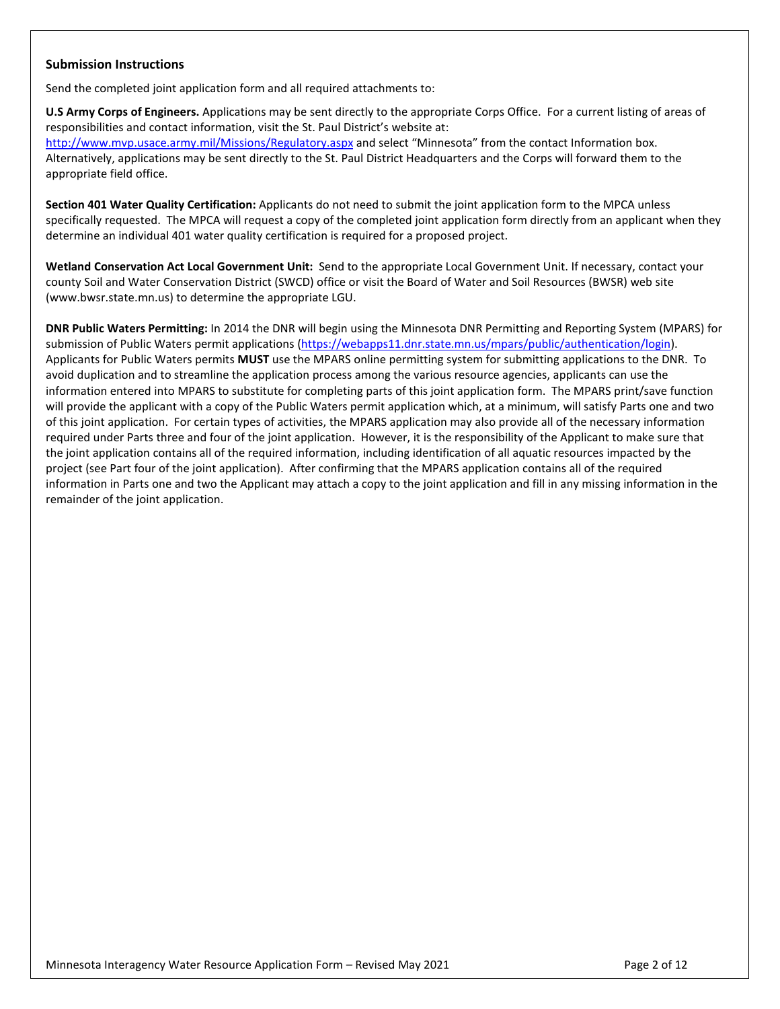#### **Submission Instructions**

Send the completed joint application form and all required attachments to:

**U.S Army Corps of Engineers.** Applications may be sent directly to the appropriate Corps Office. For a current listing of areas of responsibilities and contact information, visit the St. Paul District's website at:

<http://www.mvp.usace.army.mil/Missions/Regulatory.aspx> and select "Minnesota" from the contact Information box. Alternatively, applications may be sent directly to the St. Paul District Headquarters and the Corps will forward them to the appropriate field office.

**Section 401 Water Quality Certification:** Applicants do not need to submit the joint application form to the MPCA unless specifically requested. The MPCA will request a copy of the completed joint application form directly from an applicant when they determine an individual 401 water quality certification is required for a proposed project.

**Wetland Conservation Act Local Government Unit:** Send to the appropriate Local Government Unit. If necessary, contact your county Soil and Water Conservation District (SWCD) office or visit the Board of Water and Soil Resources (BWSR) web site (www.bwsr.state.mn.us) to determine the appropriate LGU.

**DNR Public Waters Permitting:** In 2014 the DNR will begin using the Minnesota DNR Permitting and Reporting System (MPARS) for submission of Public Waters permit applications [\(https://webapps11.dnr.state.mn.us/mpars/public/authentication/login\)](https://webapps11.dnr.state.mn.us/mpars/public/authentication/login). Applicants for Public Waters permits **MUST** use the MPARS online permitting system for submitting applications to the DNR. To avoid duplication and to streamline the application process among the various resource agencies, applicants can use the information entered into MPARS to substitute for completing parts of this joint application form. The MPARS print/save function will provide the applicant with a copy of the Public Waters permit application which, at a minimum, will satisfy Parts one and two of this joint application. For certain types of activities, the MPARS application may also provide all of the necessary information required under Parts three and four of the joint application. However, it is the responsibility of the Applicant to make sure that the joint application contains all of the required information, including identification of all aquatic resources impacted by the project (see Part four of the joint application). After confirming that the MPARS application contains all of the required information in Parts one and two the Applicant may attach a copy to the joint application and fill in any missing information in the remainder of the joint application.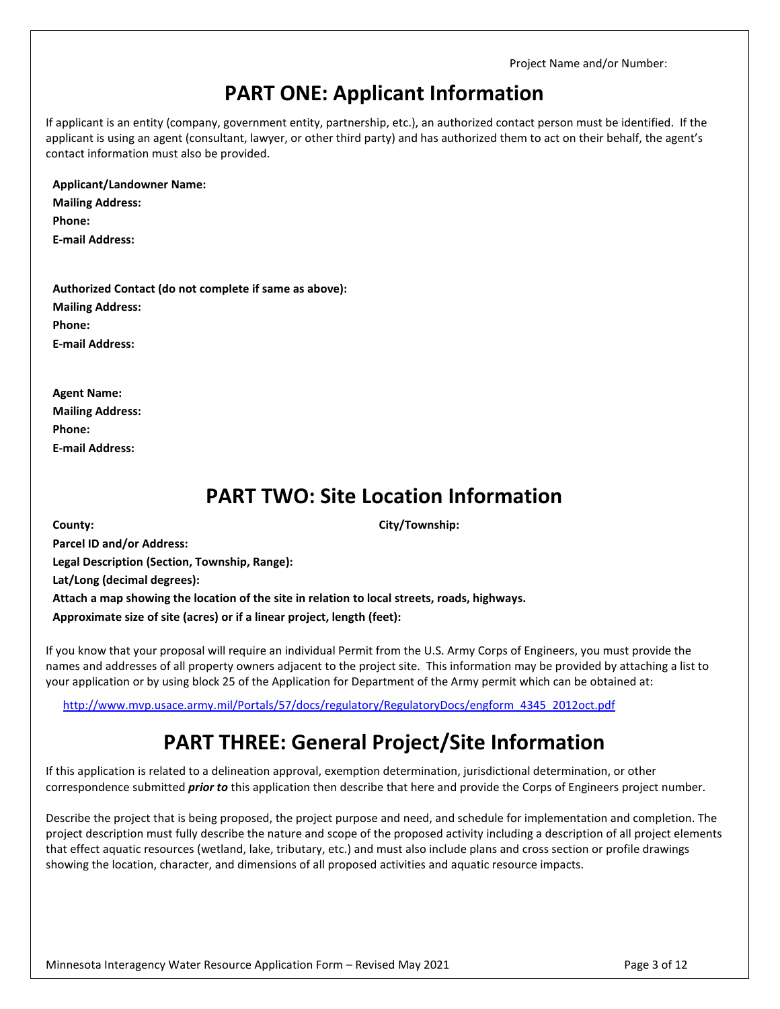### **PART ONE: Applicant Information**

If applicant is an entity (company, government entity, partnership, etc.), an authorized contact person must be identified. If the applicant is using an agent (consultant, lawyer, or other third party) and has authorized them to act on their behalf, the agent's contact information must also be provided.

**Applicant/Landowner Name:**

**Mailing Address: Phone: E-mail Address:**

**Authorized Contact (do not complete if same as above): Mailing Address: Phone: E-mail Address:**

**Agent Name: Mailing Address: Phone: E-mail Address:**

### **PART TWO: Site Location Information**

**County: City/Township: Parcel ID and/or Address: Legal Description (Section, Township, Range): Lat/Long (decimal degrees): Attach a map showing the location of the site in relation to local streets, roads, highways. Approximate size of site (acres) or if a linear project, length (feet):**

If you know that your proposal will require an individual Permit from the U.S. Army Corps of Engineers, you must provide the names and addresses of all property owners adjacent to the project site. This information may be provided by attaching a list to your application or by using block 25 of the Application for Department of the Army permit which can be obtained at:

[http://www.mvp.usace.army.mil/Portals/57/docs/regulatory/RegulatoryDocs/engform\\_4345\\_2012oct.pdf](http://www.mvp.usace.army.mil/Portals/57/docs/regulatory/RegulatoryDocs/engform_4345_2012oct.pdf)

## **PART THREE: General Project/Site Information**

If this application is related to a delineation approval, exemption determination, jurisdictional determination, or other correspondence submitted *prior to* this application then describe that here and provide the Corps of Engineers project number.

Describe the project that is being proposed, the project purpose and need, and schedule for implementation and completion. The project description must fully describe the nature and scope of the proposed activity including a description of all project elements that effect aquatic resources (wetland, lake, tributary, etc.) and must also include plans and cross section or profile drawings showing the location, character, and dimensions of all proposed activities and aquatic resource impacts.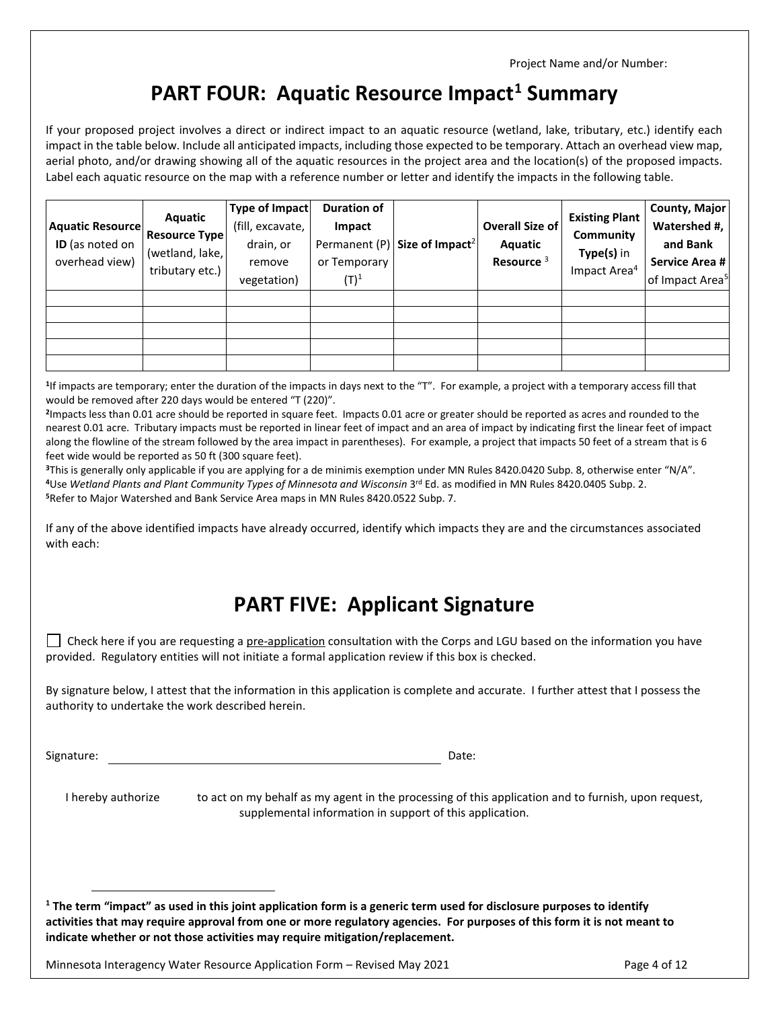### **PART FOUR: Aquatic Resource Impact[1](#page-3-0) Summary**

If your proposed project involves a direct or indirect impact to an aquatic resource (wetland, lake, tributary, etc.) identify each impact in the table below. Include all anticipated impacts, including those expected to be temporary. Attach an overhead view map, aerial photo, and/or drawing showing all of the aquatic resources in the project area and the location(s) of the proposed impacts. Label each aquatic resource on the map with a reference number or letter and identify the impacts in the following table.

| <b>Aquatic Resource</b><br>ID (as noted on<br>overhead view) | Aquatic<br><b>Resource Type</b><br>(wetland, lake,<br>tributary etc.) | Type of Impact<br>(fill, excavate,<br>drain, or<br>remove<br>vegetation) | <b>Duration of</b><br>Impact<br>Permanent (P)<br>or Temporary<br>$(\mathsf{T})^1$ | Size of Impact <sup>2</sup> | <b>Overall Size of</b><br>Aquatic<br>Resource <sup>3</sup> | <b>Existing Plant</b><br>Community<br>Type(s) in<br>Impact Area <sup>4</sup> | County, Major<br>Watershed #,<br>and Bank<br>Service Area #<br>of Impact Area <sup>5</sup> |
|--------------------------------------------------------------|-----------------------------------------------------------------------|--------------------------------------------------------------------------|-----------------------------------------------------------------------------------|-----------------------------|------------------------------------------------------------|------------------------------------------------------------------------------|--------------------------------------------------------------------------------------------|
|                                                              |                                                                       |                                                                          |                                                                                   |                             |                                                            |                                                                              |                                                                                            |

**<sup>1</sup>**If impacts are temporary; enter the duration of the impacts in days next to the "T". For example, a project with a temporary access fill that would be removed after 220 days would be entered "T (220)".

**<sup>2</sup>**Impacts less than 0.01 acre should be reported in square feet. Impacts 0.01 acre or greater should be reported as acres and rounded to the nearest 0.01 acre. Tributary impacts must be reported in linear feet of impact and an area of impact by indicating first the linear feet of impact along the flowline of the stream followed by the area impact in parentheses). For example, a project that impacts 50 feet of a stream that is 6 feet wide would be reported as 50 ft (300 square feet).

**<sup>3</sup>**This is generally only applicable if you are applying for a de minimis exemption under MN Rules 8420.0420 Subp. 8, otherwise enter "N/A". **<sup>4</sup>**Use *Wetland Plants and Plant Community Types of Minnesota and Wisconsin* 3rd Ed. as modified in MN Rules 8420.0405 Subp. 2. **<sup>5</sup>**Refer to Major Watershed and Bank Service Area maps in MN Rules 8420.0522 Subp. 7.

If any of the above identified impacts have already occurred, identify which impacts they are and the circumstances associated with each:

### **PART FIVE: Applicant Signature**

 $\Box$  Check here if you are requesting a pre-application consultation with the Corps and LGU based on the information you have provided. Regulatory entities will not initiate a formal application review if this box is checked.

By signature below, I attest that the information in this application is complete and accurate. I further attest that I possess the authority to undertake the work described herein.

Signature: Date: Date: Date: Date: Date: Date: Date: Date: Date: Date: Date: Date: Date: Date: Date: Date: Date: Date: Date: Date: Date: Date: Date: Date: Date: Date: Date: Date: Date: Date: Date: Date: Date: Date: Date: D

I hereby authorize to act on my behalf as my agent in the processing of this application and to furnish, upon request, supplemental information in support of this application.

<span id="page-3-0"></span>**<sup>1</sup> The term "impact" as used in this joint application form is a generic term used for disclosure purposes to identify activities that may require approval from one or more regulatory agencies. For purposes of this form it is not meant to indicate whether or not those activities may require mitigation/replacement.** 

Minnesota Interagency Water Resource Application Form – Revised May 2021 **Page 4 of 12** Page 4 of 12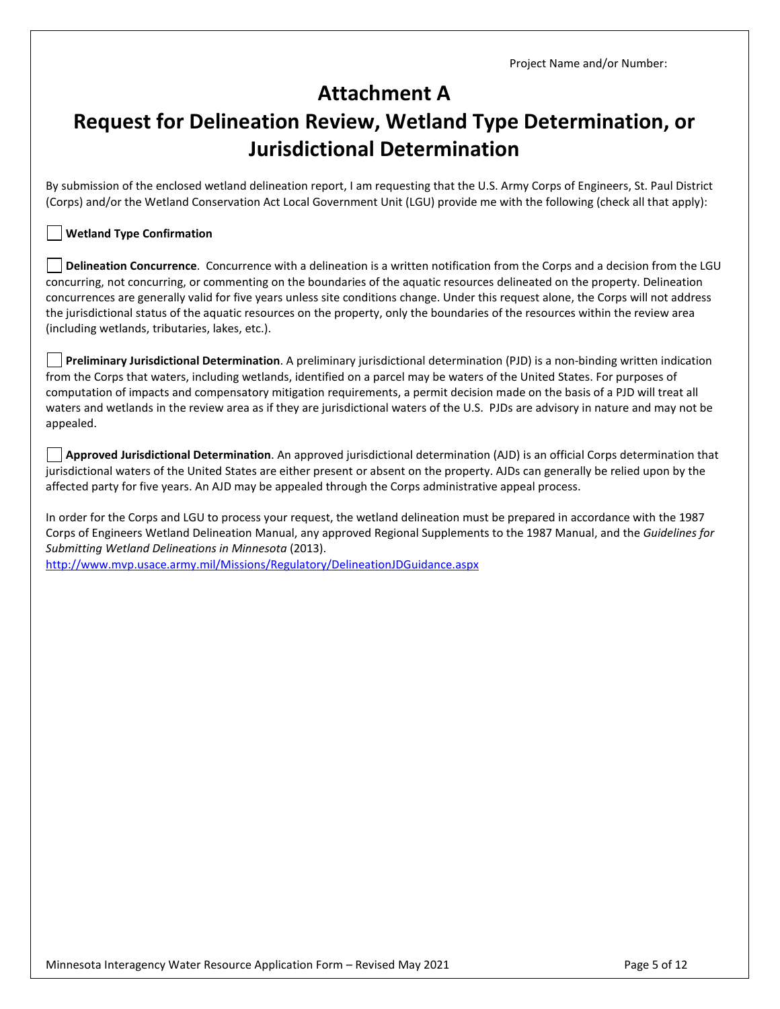### **Attachment A**

# **Request for Delineation Review, Wetland Type Determination, or Jurisdictional Determination**

By submission of the enclosed wetland delineation report, I am requesting that the U.S. Army Corps of Engineers, St. Paul District (Corps) and/or the Wetland Conservation Act Local Government Unit (LGU) provide me with the following (check all that apply):

#### **Wetland Type Confirmation**

**Delineation Concurrence**. Concurrence with a delineation is a written notification from the Corps and a decision from the LGU concurring, not concurring, or commenting on the boundaries of the aquatic resources delineated on the property. Delineation concurrences are generally valid for five years unless site conditions change. Under this request alone, the Corps will not address the jurisdictional status of the aquatic resources on the property, only the boundaries of the resources within the review area (including wetlands, tributaries, lakes, etc.).

**Preliminary Jurisdictional Determination**. A preliminary jurisdictional determination (PJD) is a non-binding written indication from the Corps that waters, including wetlands, identified on a parcel may be waters of the United States. For purposes of computation of impacts and compensatory mitigation requirements, a permit decision made on the basis of a PJD will treat all waters and wetlands in the review area as if they are jurisdictional waters of the U.S. PJDs are advisory in nature and may not be appealed.

**Approved Jurisdictional Determination**. An approved jurisdictional determination (AJD) is an official Corps determination that jurisdictional waters of the United States are either present or absent on the property. AJDs can generally be relied upon by the affected party for five years. An AJD may be appealed through the Corps administrative appeal process.

In order for the Corps and LGU to process your request, the wetland delineation must be prepared in accordance with the 1987 Corps of Engineers Wetland Delineation Manual, any approved Regional Supplements to the 1987 Manual, and the *Guidelines for Submitting Wetland Delineations in Minnesota* (2013).

<http://www.mvp.usace.army.mil/Missions/Regulatory/DelineationJDGuidance.aspx>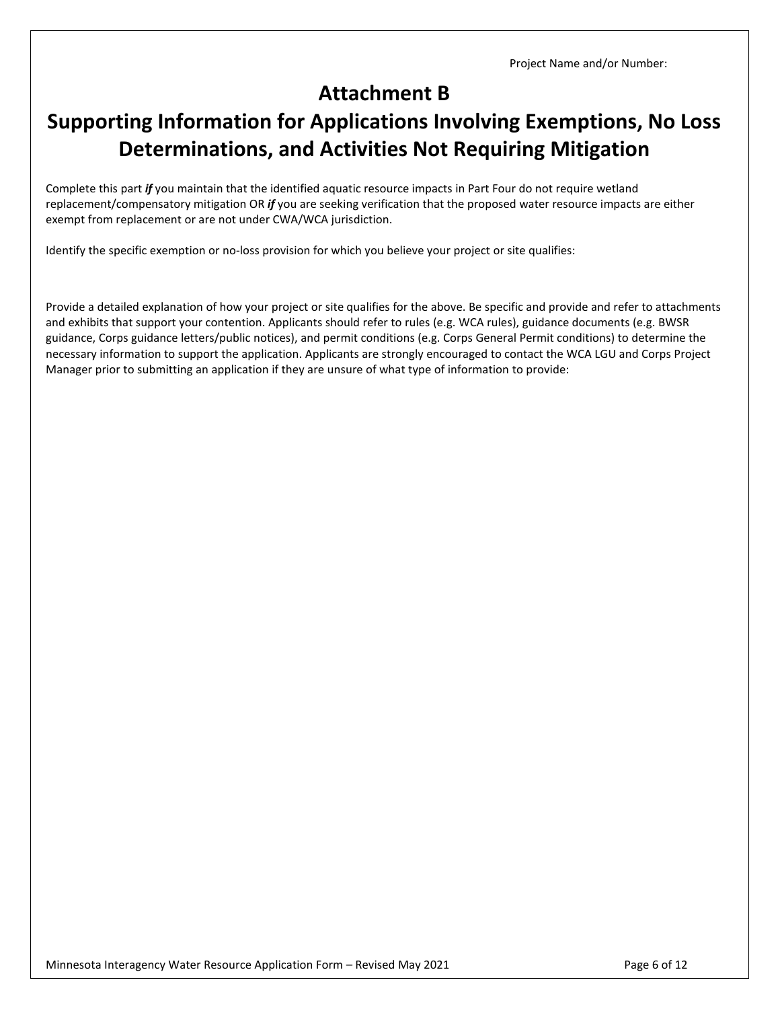## **Attachment B**

# **Supporting Information for Applications Involving Exemptions, No Loss Determinations, and Activities Not Requiring Mitigation**

Complete this part *if* you maintain that the identified aquatic resource impacts in Part Four do not require wetland replacement/compensatory mitigation OR *if* you are seeking verification that the proposed water resource impacts are either exempt from replacement or are not under CWA/WCA jurisdiction.

Identify the specific exemption or no-loss provision for which you believe your project or site qualifies:

Provide a detailed explanation of how your project or site qualifies for the above. Be specific and provide and refer to attachments and exhibits that support your contention. Applicants should refer to rules (e.g. WCA rules), guidance documents (e.g. BWSR guidance, Corps guidance letters/public notices), and permit conditions (e.g. Corps General Permit conditions) to determine the necessary information to support the application. Applicants are strongly encouraged to contact the WCA LGU and Corps Project Manager prior to submitting an application if they are unsure of what type of information to provide: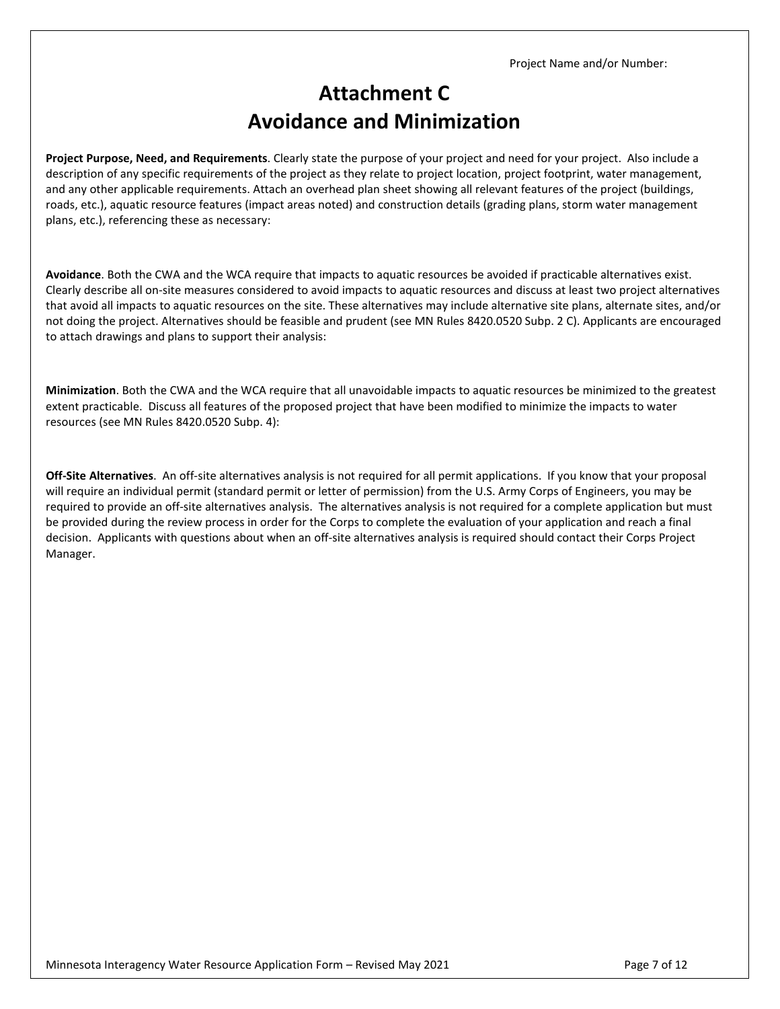## **Attachment C Avoidance and Minimization**

**Project Purpose, Need, and Requirements**. Clearly state the purpose of your project and need for your project. Also include a description of any specific requirements of the project as they relate to project location, project footprint, water management, and any other applicable requirements. Attach an overhead plan sheet showing all relevant features of the project (buildings, roads, etc.), aquatic resource features (impact areas noted) and construction details (grading plans, storm water management plans, etc.), referencing these as necessary:

**Avoidance**. Both the CWA and the WCA require that impacts to aquatic resources be avoided if practicable alternatives exist. Clearly describe all on-site measures considered to avoid impacts to aquatic resources and discuss at least two project alternatives that avoid all impacts to aquatic resources on the site. These alternatives may include alternative site plans, alternate sites, and/or not doing the project. Alternatives should be feasible and prudent (see MN Rules 8420.0520 Subp. 2 C). Applicants are encouraged to attach drawings and plans to support their analysis:

**Minimization**. Both the CWA and the WCA require that all unavoidable impacts to aquatic resources be minimized to the greatest extent practicable. Discuss all features of the proposed project that have been modified to minimize the impacts to water resources (see MN Rules 8420.0520 Subp. 4):

**Off-Site Alternatives**. An off-site alternatives analysis is not required for all permit applications. If you know that your proposal will require an individual permit (standard permit or letter of permission) from the U.S. Army Corps of Engineers, you may be required to provide an off-site alternatives analysis. The alternatives analysis is not required for a complete application but must be provided during the review process in order for the Corps to complete the evaluation of your application and reach a final decision. Applicants with questions about when an off-site alternatives analysis is required should contact their Corps Project Manager.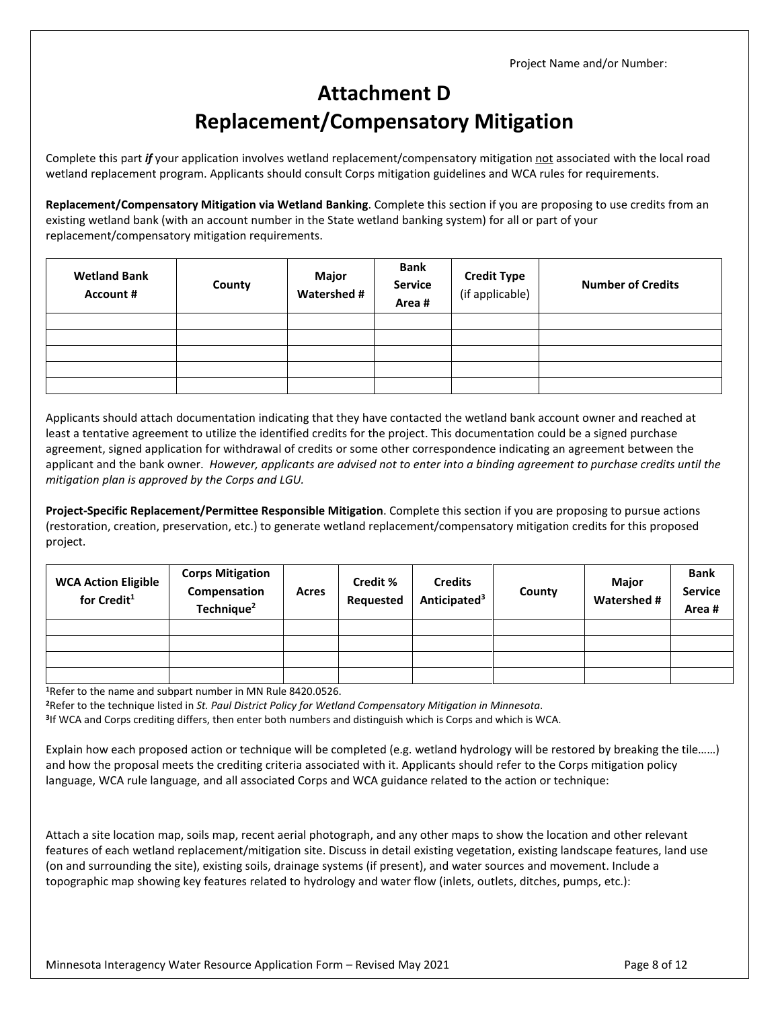# **Attachment D Replacement/Compensatory Mitigation**

Complete this part *if* your application involves wetland replacement/compensatory mitigation not associated with the local road wetland replacement program. Applicants should consult Corps mitigation guidelines and WCA rules for requirements.

**Replacement/Compensatory Mitigation via Wetland Banking**. Complete this section if you are proposing to use credits from an existing wetland bank (with an account number in the State wetland banking system) for all or part of your replacement/compensatory mitigation requirements.

| <b>Wetland Bank</b><br><b>Account #</b> | County | Major<br><b>Watershed #</b> | <b>Bank</b><br><b>Service</b><br>Area# | <b>Credit Type</b><br>(if applicable) | <b>Number of Credits</b> |
|-----------------------------------------|--------|-----------------------------|----------------------------------------|---------------------------------------|--------------------------|
|                                         |        |                             |                                        |                                       |                          |
|                                         |        |                             |                                        |                                       |                          |
|                                         |        |                             |                                        |                                       |                          |
|                                         |        |                             |                                        |                                       |                          |
|                                         |        |                             |                                        |                                       |                          |

Applicants should attach documentation indicating that they have contacted the wetland bank account owner and reached at least a tentative agreement to utilize the identified credits for the project. This documentation could be a signed purchase agreement, signed application for withdrawal of credits or some other correspondence indicating an agreement between the applicant and the bank owner. *However, applicants are advised not to enter into a binding agreement to purchase credits until the mitigation plan is approved by the Corps and LGU.*

**Project-Specific Replacement/Permittee Responsible Mitigation**. Complete this section if you are proposing to pursue actions (restoration, creation, preservation, etc.) to generate wetland replacement/compensatory mitigation credits for this proposed project.

| <b>WCA Action Eligible</b><br>for Credit <sup>1</sup> | <b>Corps Mitigation</b><br>Compensation<br>Technique <sup>2</sup> | Acres | Credit %<br>Requested | <b>Credits</b><br>Anticipated <sup>3</sup> | County | Major<br>Watershed # | <b>Bank</b><br><b>Service</b><br>Area# |
|-------------------------------------------------------|-------------------------------------------------------------------|-------|-----------------------|--------------------------------------------|--------|----------------------|----------------------------------------|
|                                                       |                                                                   |       |                       |                                            |        |                      |                                        |
|                                                       |                                                                   |       |                       |                                            |        |                      |                                        |
|                                                       |                                                                   |       |                       |                                            |        |                      |                                        |
|                                                       |                                                                   |       |                       |                                            |        |                      |                                        |

**<sup>1</sup>**Refer to the name and subpart number in MN Rule 8420.0526.

**<sup>2</sup>**Refer to the technique listed in *St. Paul District Policy for Wetland Compensatory Mitigation in Minnesota*.

**<sup>3</sup>**If WCA and Corps crediting differs, then enter both numbers and distinguish which is Corps and which is WCA.

Explain how each proposed action or technique will be completed (e.g. wetland hydrology will be restored by breaking the tile……) and how the proposal meets the crediting criteria associated with it. Applicants should refer to the Corps mitigation policy language, WCA rule language, and all associated Corps and WCA guidance related to the action or technique:

Attach a site location map, soils map, recent aerial photograph, and any other maps to show the location and other relevant features of each wetland replacement/mitigation site. Discuss in detail existing vegetation, existing landscape features, land use (on and surrounding the site), existing soils, drainage systems (if present), and water sources and movement. Include a topographic map showing key features related to hydrology and water flow (inlets, outlets, ditches, pumps, etc.):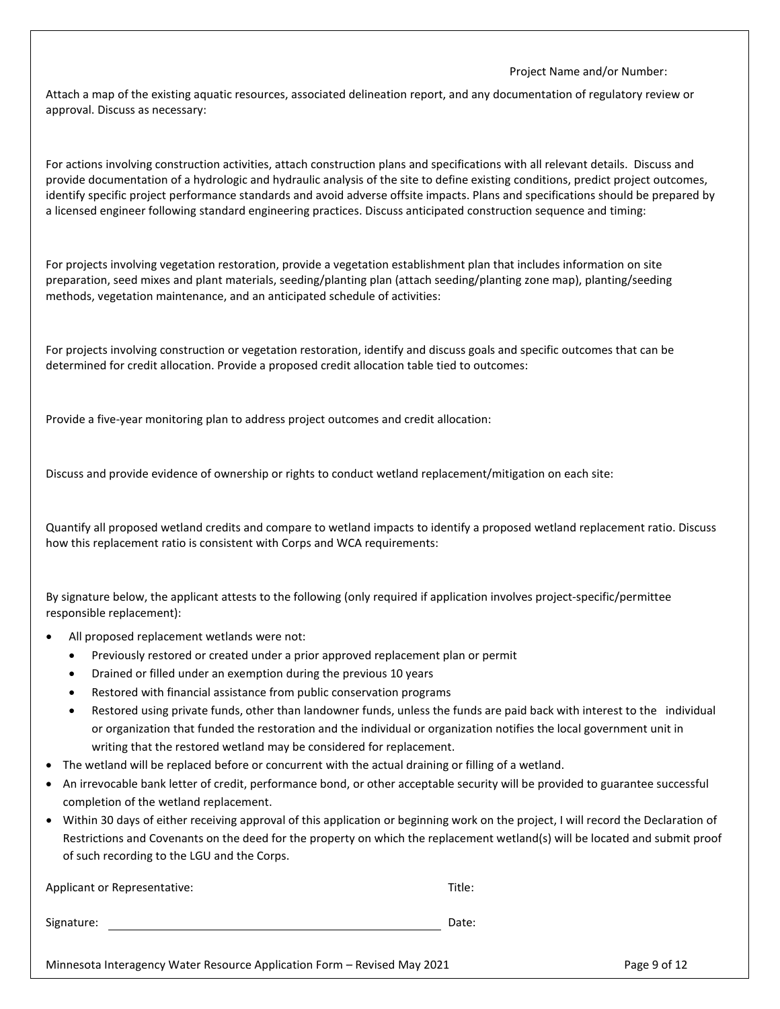Attach a map of the existing aquatic resources, associated delineation report, and any documentation of regulatory review or approval. Discuss as necessary:

For actions involving construction activities, attach construction plans and specifications with all relevant details. Discuss and provide documentation of a hydrologic and hydraulic analysis of the site to define existing conditions, predict project outcomes, identify specific project performance standards and avoid adverse offsite impacts. Plans and specifications should be prepared by a licensed engineer following standard engineering practices. Discuss anticipated construction sequence and timing:

For projects involving vegetation restoration, provide a vegetation establishment plan that includes information on site preparation, seed mixes and plant materials, seeding/planting plan (attach seeding/planting zone map), planting/seeding methods, vegetation maintenance, and an anticipated schedule of activities:

For projects involving construction or vegetation restoration, identify and discuss goals and specific outcomes that can be determined for credit allocation. Provide a proposed credit allocation table tied to outcomes:

Provide a five-year monitoring plan to address project outcomes and credit allocation:

Discuss and provide evidence of ownership or rights to conduct wetland replacement/mitigation on each site:

Quantify all proposed wetland credits and compare to wetland impacts to identify a proposed wetland replacement ratio. Discuss how this replacement ratio is consistent with Corps and WCA requirements:

By signature below, the applicant attests to the following (only required if application involves project-specific/permittee responsible replacement):

- All proposed replacement wetlands were not:
	- Previously restored or created under a prior approved replacement plan or permit
	- Drained or filled under an exemption during the previous 10 years
	- Restored with financial assistance from public conservation programs
	- Restored using private funds, other than landowner funds, unless the funds are paid back with interest to the individual or organization that funded the restoration and the individual or organization notifies the local government unit in writing that the restored wetland may be considered for replacement.
- The wetland will be replaced before or concurrent with the actual draining or filling of a wetland.
- An irrevocable bank letter of credit, performance bond, or other acceptable security will be provided to guarantee successful completion of the wetland replacement.
- Within 30 days of either receiving approval of this application or beginning work on the project, I will record the Declaration of Restrictions and Covenants on the deed for the property on which the replacement wetland(s) will be located and submit proof of such recording to the LGU and the Corps.

| Applicant or Representative: | Title: |
|------------------------------|--------|
| Signature:                   | Date:  |

Minnesota Interagency Water Resource Application Form – Revised May 2021 Page 9 of 12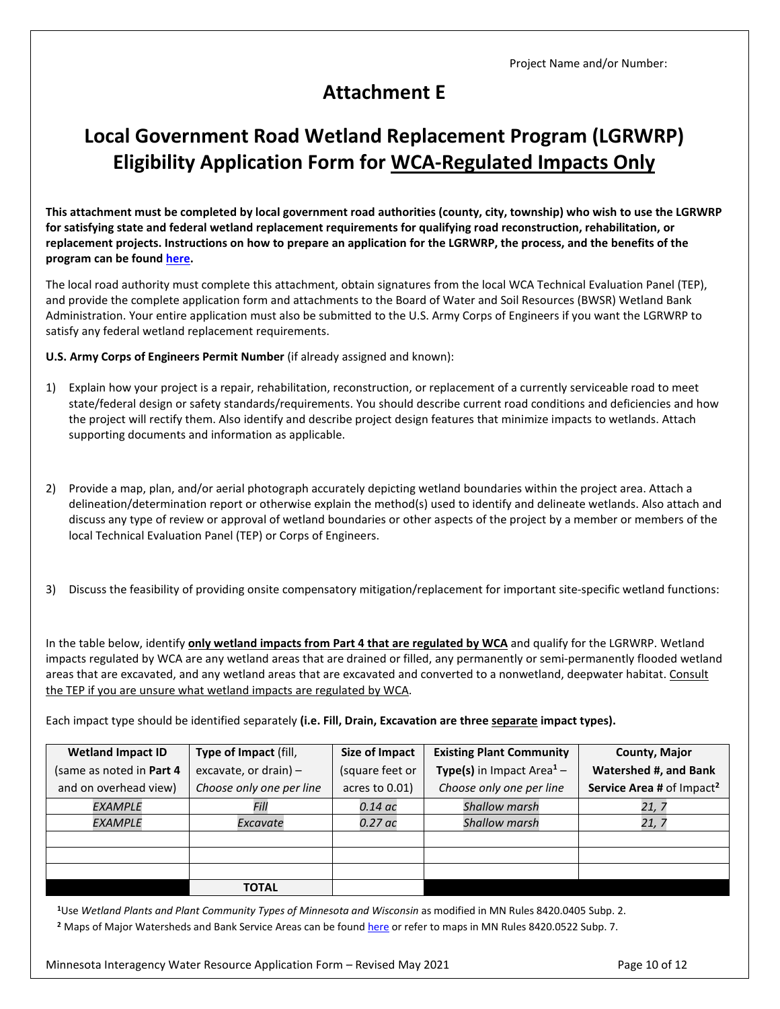### **Attachment E**

## **Local Government Road Wetland Replacement Program (LGRWRP) Eligibility Application Form for WCA-Regulated Impacts Only**

**This attachment must be completed by local government road authorities (county, city, township) who wish to use the LGRWRP for satisfying state and federal wetland replacement requirements for qualifying road reconstruction, rehabilitation, or replacement projects. Instructions on how to prepare an application for the LGRWRP, the process, and the benefits of the program can be found [here.](http://bwsr.state.mn.us/local-government-road-wetland-replacement-program)**

The local road authority must complete this attachment, obtain signatures from the local WCA Technical Evaluation Panel (TEP), and provide the complete application form and attachments to the Board of Water and Soil Resources (BWSR) Wetland Bank Administration. Your entire application must also be submitted to the U.S. Army Corps of Engineers if you want the LGRWRP to satisfy any federal wetland replacement requirements.

**U.S. Army Corps of Engineers Permit Number** (if already assigned and known):

- 1) Explain how your project is a repair, rehabilitation, reconstruction, or replacement of a currently serviceable road to meet state/federal design or safety standards/requirements. You should describe current road conditions and deficiencies and how the project will rectify them. Also identify and describe project design features that minimize impacts to wetlands. Attach supporting documents and information as applicable.
- 2) Provide a map, plan, and/or aerial photograph accurately depicting wetland boundaries within the project area. Attach a delineation/determination report or otherwise explain the method(s) used to identify and delineate wetlands. Also attach and discuss any type of review or approval of wetland boundaries or other aspects of the project by a member or members of the local Technical Evaluation Panel (TEP) or Corps of Engineers.
- 3) Discuss the feasibility of providing onsite compensatory mitigation/replacement for important site-specific wetland functions:

In the table below, identify **only wetland impacts from Part 4 that are regulated by WCA** and qualify for the LGRWRP. Wetland impacts regulated by WCA are any wetland areas that are drained or filled, any permanently or semi-permanently flooded wetland areas that are excavated, and any wetland areas that are excavated and converted to a nonwetland, deepwater habitat. Consult the TEP if you are unsure what wetland impacts are regulated by WCA.

Each impact type should be identified separately **(i.e. Fill, Drain, Excavation are three separate impact types).** 

| <b>Wetland Impact ID</b> | Type of Impact (fill,    | Size of Impact  | <b>Existing Plant Community</b>              | County, Major                         |
|--------------------------|--------------------------|-----------------|----------------------------------------------|---------------------------------------|
| (same as noted in Part 4 | excavate, or drain) $-$  | (square feet or | <b>Type(s)</b> in Impact Area <sup>1</sup> – | Watershed #, and Bank                 |
| and on overhead view)    | Choose only one per line | acres to 0.01)  | Choose only one per line                     | Service Area # of Impact <sup>2</sup> |
| <b>EXAMPLE</b>           | Fill                     | 0.14 ас         | <b>Shallow marsh</b>                         | 21, 7                                 |
| <b>EXAMPLE</b>           | Excavate                 | 0.27 ac         | <b>Shallow marsh</b>                         | 21, 7                                 |
|                          |                          |                 |                                              |                                       |
|                          |                          |                 |                                              |                                       |
|                          |                          |                 |                                              |                                       |
|                          | <b>TOTAL</b>             |                 |                                              |                                       |

**<sup>1</sup>**Use *Wetland Plants and Plant Community Types of Minnesota and Wisconsin* as modified in MN Rules 8420.0405 Subp. 2.

**<sup>2</sup>** Maps of Major Watersheds and Bank Service Areas can be foun[d here](https://bwsr.maps.arcgis.com/apps/MapAndAppGallery/index.html?appid=e9a35cd6723944d1bcb88afea28205d6) or refer to maps in MN Rules 8420.0522 Subp. 7.

Minnesota Interagency Water Resource Application Form – Revised May 2021 Page 10 of 12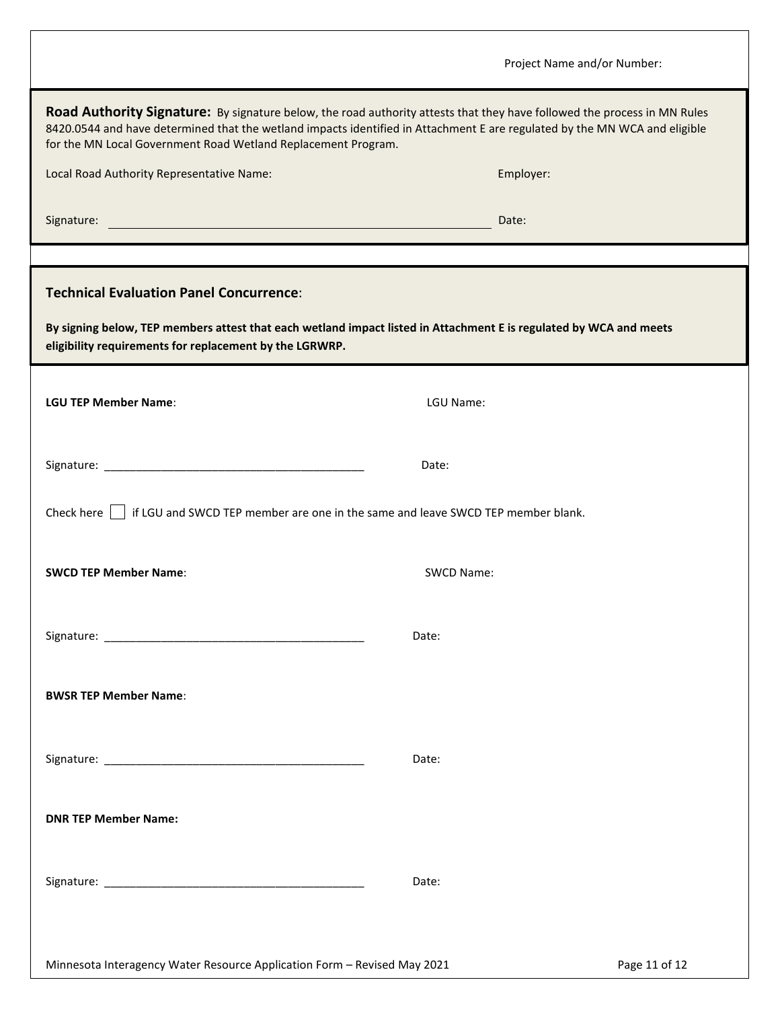|                                                                                                                                                                                                                                                                                                                         | Project Name and/or Number: |  |  |  |  |
|-------------------------------------------------------------------------------------------------------------------------------------------------------------------------------------------------------------------------------------------------------------------------------------------------------------------------|-----------------------------|--|--|--|--|
| Road Authority Signature: By signature below, the road authority attests that they have followed the process in MN Rules<br>8420.0544 and have determined that the wetland impacts identified in Attachment E are regulated by the MN WCA and eligible<br>for the MN Local Government Road Wetland Replacement Program. |                             |  |  |  |  |
| Local Road Authority Representative Name:                                                                                                                                                                                                                                                                               | Employer:                   |  |  |  |  |
| Signature:<br><u> 1980 - Johann Barnett, fransk politik (d. 1980)</u>                                                                                                                                                                                                                                                   | Date:                       |  |  |  |  |
|                                                                                                                                                                                                                                                                                                                         |                             |  |  |  |  |
| <b>Technical Evaluation Panel Concurrence:</b>                                                                                                                                                                                                                                                                          |                             |  |  |  |  |
| By signing below, TEP members attest that each wetland impact listed in Attachment E is regulated by WCA and meets<br>eligibility requirements for replacement by the LGRWRP.                                                                                                                                           |                             |  |  |  |  |
| <b>LGU TEP Member Name:</b>                                                                                                                                                                                                                                                                                             | LGU Name:                   |  |  |  |  |
|                                                                                                                                                                                                                                                                                                                         | Date:                       |  |  |  |  |
| Check here     if LGU and SWCD TEP member are one in the same and leave SWCD TEP member blank.                                                                                                                                                                                                                          |                             |  |  |  |  |
| <b>SWCD TEP Member Name:</b>                                                                                                                                                                                                                                                                                            | SWCD Name:                  |  |  |  |  |
|                                                                                                                                                                                                                                                                                                                         | Date:                       |  |  |  |  |
| <b>BWSR TEP Member Name:</b>                                                                                                                                                                                                                                                                                            |                             |  |  |  |  |
|                                                                                                                                                                                                                                                                                                                         | Date:                       |  |  |  |  |
| <b>DNR TEP Member Name:</b>                                                                                                                                                                                                                                                                                             |                             |  |  |  |  |
|                                                                                                                                                                                                                                                                                                                         | Date:                       |  |  |  |  |
| Minnesota Interagency Water Resource Application Form - Revised May 2021                                                                                                                                                                                                                                                | Page 11 of 12               |  |  |  |  |